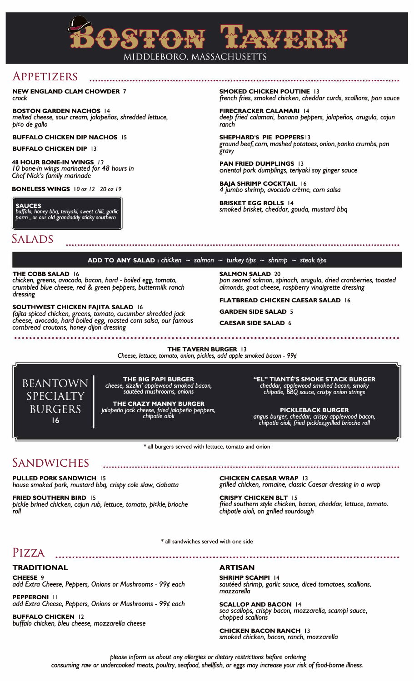

## APPETIZERS

**NEW ENGLAND CLAM CHOWDER** 7 *crock* 

**BOSTON GARDEN NACHOS 14**  *melted cheese, sour cream, jalapefios, shredded lettuce, pico de gallo* 

#### **BUFFALO CHICKEN DIP NACHOS 15**

**BUFFALO CHICKEN DIP 13** 

**48 HOUR BONE-IN WINGS /** *3 IO bone-in wings marinated for 48 hours in Chef Nick's family marinade* 

**BONELESS WINGS IO oz** *12 20* **oz** *19*

**SAUCES**  *buffalo, honey bbq, teriyaki, sweet chili, garlic parm* , *or our old grandaddy sticky southern* 

**SMOKED CHICKEN POUTINE 13**  *french fries, smoked chicken, cheddar curds, scallions, pan sauce* 

**FIRECRACKER CALAMARI 14**  *deep fried calamari, banana peppers, jalapefios, arugu/a, cajun ranch* 

**SHEPHARD'S PIE POPPERS13**  *ground beef, corn, mashed potatoes, onion, panko crumbs, pan gravy* 

**PAN FRIED DUMPLINGS 13**  *oriental pork dumplings, teriyaki soy ginger sauce* 

**BAJA SHRIMP COCKTAIL 16**  *4 jumbo shrimp, avocado creme, corn salsa* 

**BRISKET EGG ROLLS 14**  *smoked brisket, cheddar, gouda, mustard bbq* 

### SALADS

### **ADD TO ANY SALAD** : *chicken*  $\sim$  *salmon*  $\sim$  *turkey tips*  $\sim$  *shrimp*  $\sim$  *steak tips*

**THE COBB SALAD 16** 

*chicken, greens, avocado, bacon, hard* - *boiled egg, tomato, crumbled blue cheese, red* & *green peppers, buttermilk ranch dressing* 

#### **SOUTHWEST CHICKEN FAJITA SALAD 16**

*fajita spiced chicken, greens, tomato, cucumber shredded jack cheese, avocado, hard boiled egg, roasted corn salsa, our famous cornbread croutons, honey dijon dressing* 

**SALMON SALAD 20**  *pan seared salmon, spinach, arugula, dried cranberries, toasted almonds, goat cheese, raspberry vinaigrette dressing* 

**FLATBREAD CHICKEN CAESAR SALAD 16** 

**GARDEN SIDE SALAD 5** 

**CAESAR SIDE SALAD 6** 

**THE TAVERN BURGER 13** 

*Cheese, lettuce, tomato, onion, pickles, add apple smoked bacon* - *99¢*



**THE BIG PAPI BURGER**  *cheese, sizzlin' applewood smoked bacon, sauteed mushrooms, onions* 

**THE CRAZY MANNY BURGER**  *jalapeiio jack cheese, fried jalapeiio peppers, chipotle aioli* 

**"EL" TIANTE'S SMOKE STACK BURGER**  *cheddar, applewood smoked bacon, smoky chipotle, BBQ sauce, crispy onion strings* 

**PICKLEBACK BURGER**  *angus burger, cheddar, crispy applewood bacon, chipotle aioli, fried pickles.grilled brioche roll* 

**\* all burgers served with lettuce, tomato and onion** 

## SANDWICHES

**PULLED PORK SANDWICH 15**  *house smoked pork. mustard bbq, crispy cote slaw, ciabatta* 

**FRIED SOUTHERN BIRD 15**  *pickle brined chicken, cajun rub, lettuce, tomato, pickle, brioche roll* 

**CHICKEN CAESAR WRAP 13**  *grilled chicken, romaine, classic Caesar dressing in a wrap* 

**CRISPY CHICKEN BLT 15**  *fried southern style chicken, bacon, cheddar, lettuce, tomato. chipotle aioli, on grilled sourdough* 

\* **all sandwiches served with one side** 

### PIZZA

**TRADITIONAL CHEESE 9**  *add Extra Cheese, Peppers, Onions or Mushrooms* - *99¢ each*

**PEPPERONI 11**  *add Extra Cheese, Peppers, Onions or Mushrooms* - *99¢ each*

**BUFFALO CHICKEN 12**  *buffalo chicken, bleu cheese, mozzarella cheese* 

### **ARTISAN**

**SHRIMP SCAMPI 14**  *sauteed shrimp, garlic sauce, diced tomatoes, scallions, mozzarella* 

**SCALLOP AND BACON 14**  *sea scallops, crispy bacon, mozzarella, scampi sauce, chopped scallions* 

**CHICKEN BACON RANCH 13**  *smoked chicken, bacon, ranch, mozzarella* 

*please inform* us *about any allergies* or *dietary restrictions before ordering consuming raw or undercooked meats, poultry, seafood, shellfish, or eggs may increase your risk* of *food-borne illness.*